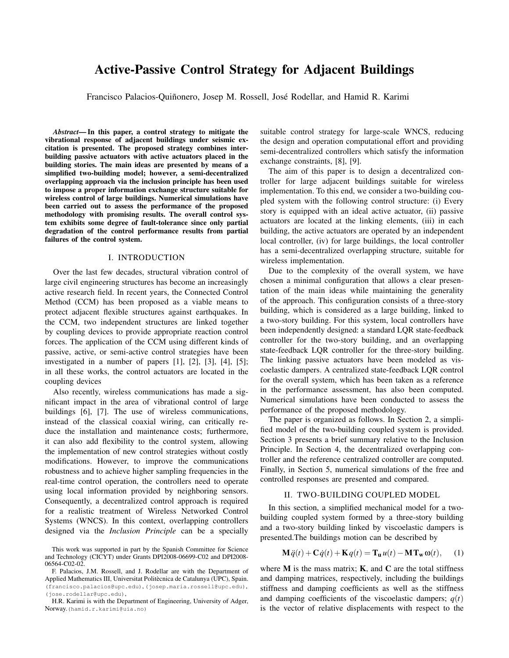# Active-Passive Control Strategy for Adjacent Buildings

Francisco Palacios-Quiñonero, Josep M. Rossell, José Rodellar, and Hamid R. Karimi

*Abstract*— In this paper, a control strategy to mitigate the vibrational response of adjacent buildings under seismic excitation is presented. The proposed strategy combines interbuilding passive actuators with active actuators placed in the building stories. The main ideas are presented by means of a simplified two-building model; however, a semi-decentralized overlapping approach via the inclusion principle has been used to impose a proper information exchange structure suitable for wireless control of large buildings. Numerical simulations have been carried out to assess the performance of the proposed methodology with promising results. The overall control system exhibits some degree of fault-tolerance since only partial degradation of the control performance results from partial failures of the control system.

### I. INTRODUCTION

Over the last few decades, structural vibration control of large civil engineering structures has become an increasingly active research field. In recent years, the Connected Control Method (CCM) has been proposed as a viable means to protect adjacent flexible structures against earthquakes. In the CCM, two independent structures are linked together by coupling devices to provide appropriate reaction control forces. The application of the CCM using different kinds of passive, active, or semi-active control strategies have been investigated in a number of papers [1], [2], [3], [4], [5]; in all these works, the control actuators are located in the coupling devices

Also recently, wireless communications has made a significant impact in the area of vibrational control of large buildings [6], [7]. The use of wireless communications, instead of the classical coaxial wiring, can critically reduce the installation and maintenance costs; furthermore, it can also add flexibility to the control system, allowing the implementation of new control strategies without costly modifications. However, to improve the communications robustness and to achieve higher sampling frequencies in the real-time control operation, the controllers need to operate using local information provided by neighboring sensors. Consequently, a decentralized control approach is required for a realistic treatment of Wireless Networked Control Systems (WNCS). In this context, overlapping controllers designed via the *Inclusion Principle* can be a specially

suitable control strategy for large-scale WNCS, reducing the design and operation computational effort and providing semi-decentralized controllers which satisfy the information exchange constraints, [8], [9].

The aim of this paper is to design a decentralized controller for large adjacent buildings suitable for wireless implementation. To this end, we consider a two-building coupled system with the following control structure: (i) Every story is equipped with an ideal active actuator, (ii) passive actuators are located at the linking elements, (iii) in each building, the active actuators are operated by an independent local controller, (iv) for large buildings, the local controller has a semi-decentralized overlapping structure, suitable for wireless implementation.

Due to the complexity of the overall system, we have chosen a minimal configuration that allows a clear presentation of the main ideas while maintaining the generality of the approach. This configuration consists of a three-story building, which is considered as a large building, linked to a two-story building. For this system, local controllers have been independently designed: a standard LQR state-feedback controller for the two-story building, and an overlapping state-feedback LQR controller for the three-story building. The linking passive actuators have been modeled as viscoelastic dampers. A centralized state-feedback LQR control for the overall system, which has been taken as a reference in the performance assessment, has also been computed. Numerical simulations have been conducted to assess the performance of the proposed methodology.

The paper is organized as follows. In Section 2, a simplified model of the two-building coupled system is provided. Section 3 presents a brief summary relative to the Inclusion Principle. In Section 4, the decentralized overlapping controller and the reference centralized controller are computed. Finally, in Section 5, numerical simulations of the free and controlled responses are presented and compared.

### II. TWO-BUILDING COUPLED MODEL

In this section, a simplified mechanical model for a twobuilding coupled system formed by a three-story building and a two-story building linked by viscoelastic dampers is presented.The buildings motion can be described by

$$
\mathbf{M}\ddot{q}(t) + \mathbf{C}\dot{q}(t) + \mathbf{K}q(t) = \mathbf{T}_{\mathbf{u}}u(t) - \mathbf{M}\mathbf{T}_{\mathbf{w}}\omega(t), \qquad (1)
$$

where  $M$  is the mass matrix;  $K$ , and  $C$  are the total stiffness and damping matrices, respectively, including the buildings stiffness and damping coefficients as well as the stiffness and damping coefficients of the viscoelastic dampers;  $q(t)$ is the vector of relative displacements with respect to the

This work was supported in part by the Spanish Committee for Science and Technology (CICYT) under Grants DPI2008-06699-C02 and DPI2008- 06564-C02-02.

F. Palacios, J.M. Rossell, and J. Rodellar are with the Department of Applied Mathematics III, Universitat Politècnica de Catalunya (UPC), Spain. (francisco.palacios@upc.edu), (josep.maria.rossell@upc.edu), (jose.rodellar@upc.edu),

H.R. Karimi is with the Department of Engineering, University of Adger, Norway.(hamid.r.karimi@uia.no)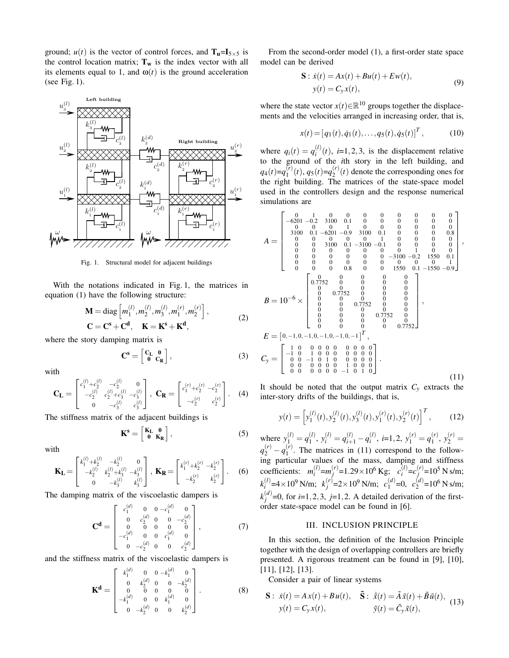ground;  $u(t)$  is the vector of control forces, and  $T_u=I_{5\times 5}$  is the control location matrix;  $T_w$  is the index vector with all its elements equal to 1, and  $\omega(t)$  is the ground acceleration (see Fig. 1).



Fig. 1. Structural model for adjacent buildings

With the notations indicated in Fig. 1, the matrices in equation (1) have the following structure:

$$
\mathbf{M} = \text{diag}\left[m_1^{(l)}, m_2^{(l)}, m_3^{(l)}, m_1^{(r)}, m_2^{(r)}\right],
$$
  
\n
$$
\mathbf{C} = \mathbf{C}^{\mathbf{s}} + \mathbf{C}^{\mathbf{d}}, \quad \mathbf{K} = \mathbf{K}^{\mathbf{s}} + \mathbf{K}^{\mathbf{d}},
$$
 (2)

where the story damping matrix is

$$
\mathbf{C}^{\mathbf{s}} = \begin{bmatrix} \mathbf{C}_{\mathbf{L}} & \mathbf{0} \\ \mathbf{0} & \mathbf{C}_{\mathbf{R}} \end{bmatrix},\tag{3}
$$

with

$$
\mathbf{C}_{\mathbf{L}} = \begin{bmatrix} c_1^{(l)} + c_2^{(l)} & -c_2^{(l)} & 0 \\ -c_2^{(l)} & c_2^{(l)} + c_3^{(l)} & -c_3^{(l)} \\ 0 & -c_3^{(l)} & c_3^{(l)} \end{bmatrix}, \ \mathbf{C}_{\mathbf{R}} = \begin{bmatrix} c_1^{(r)} + c_2^{(r)} & -c_2^{(r)} \\ -c_2^{(r)} & c_2^{(r)} \end{bmatrix}. \tag{4}
$$

The stiffness matrix of the adjacent buildings is

$$
\mathbf{K}^s = \begin{bmatrix} \mathbf{K}_L & \mathbf{0} \\ \mathbf{0} & \mathbf{K}_R \end{bmatrix},\tag{5}
$$

with

$$
\mathbf{K}_{\mathbf{L}} = \begin{bmatrix} k_1^{(l)} + k_2^{(l)} & -k_2^{(l)} & 0 \\ -k_2^{(l)} & k_2^{(l)} + k_3^{(l)} & -k_3^{(l)} \\ 0 & -k_3^{(l)} & k_3^{(l)} \end{bmatrix}, \ \mathbf{K}_{\mathbf{R}} = \begin{bmatrix} k_1^{(r)} + k_2^{(r)} & -k_2^{(r)} \\ -k_2^{(r)} & k_2^{(r)} \end{bmatrix}.
$$
 (6)

The damping matrix of the viscoelastic dampers is

$$
\mathbf{C}^{\mathbf{d}} = \begin{bmatrix} c_1^{(d)} & 0 & 0 & -c_1^{(d)} & 0 \\ 0 & c_2^{(d)} & 0 & 0 & -c_2^{(d)} \\ 0 & 0 & 0 & 0 & 0 \\ -c_1^{(d)} & 0 & 0 & c_1^{(d)} & 0 \\ 0 & -c_2^{(d)} & 0 & 0 & c_2^{(d)} \end{bmatrix}, \tag{7}
$$

and the stiffness matrix of the viscoelastic dampers is

$$
\mathbf{K}^{\mathbf{d}} = \begin{bmatrix} k_1^{(d)} & 0 & 0 & -k_1^{(d)} & 0 \\ 0 & k_2^{(d)} & 0 & 0 & -k_2^{(d)} \\ 0 & 0 & 0 & 0 & 0 \\ -k_1^{(d)} & 0 & 0 & k_1^{(d)} & 0 \\ 0 & -k_2^{(d)} & 0 & 0 & k_2^{(d)} \end{bmatrix} . \tag{8}
$$

From the second-order model (1), a first-order state space model can be derived

$$
\mathbf{S}: \dot{x}(t) = Ax(t) + Bu(t) + Ew(t),
$$
  
\n
$$
y(t) = C_y x(t),
$$
\n(9)

where the state vector  $x(t) \in \mathbb{R}^{10}$  groups together the displacements and the velocities arranged in increasing order, that is,

$$
x(t) = [q_1(t), \dot{q}_1(t), \dots, q_5(t), \dot{q}_5(t)]^T, \qquad (10)
$$

where  $q_i(t) = q_i^{(l)}$  $i^{(t)}(t)$ , *i*=1,2,3, is the displacement relative to the ground of the *i*th story in the left building, and  $q_4(t)=q_1^{(r)}$  $q_1^{(r)}(t)$ ,  $q_5(t)=q_2^{(r)}$  $2^{(r)}(t)$  denote the corresponding ones for the right building. The matrices of the state-space model used in the controllers design and the response numerical simulations are

$$
A = \begin{bmatrix}\n0 & 1 & 0 & 0 & 0 & 0 & 0 & 0 & 0 & 0 & 0 \\
0 & 0 & 0 & 0 & 1 & 0 & 0 & 0 & 0 & 0 & 0 & 0 \\
0 & 0 & 0 & 0 & 1 & 0 & 0 & 0 & 0 & 0 & 0 \\
0 & 0 & 0 & 0 & 0 & 0 & 1 & 0 & 0 & 0 & 0 & 0 \\
0 & 0 & 0 & 0 & 0 & 0 & 1 & 0 & 0 & 0 & 0 & 0 \\
0 & 0 & 3100 & 0.1 & -3100 & -0.1 & 0 & 0 & 0 & 0 & 0 \\
0 & 0 & 0 & 0 & 0 & 0 & 0 & 0 & 1 & 0 & 0 \\
0 & 0 & 0 & 0 & 0 & 0 & 0 & 0 & 1 & 0 & 0 \\
0 & 0 & 0 & 0 & 0 & 0 & 0 & 0 & 1 & 0 & 0 \\
0 & 0 & 0 & 0 & 0 & 0 & 0 & 0 & 1 & 0 & 0 \\
0 & 0 & 0 & 0 & 0 & 0 & 0 & 0 & 0 & 0 & 1 \\
0 & 0 & 0 & 0 & 0 & 0 & 0 & 0 & 0 & 0 \\
0 & 0 & 0 & 0 & 0 & 0 & 0 & 0 & 0 & 0 \\
0 & 0 & 0 & 0 & 0 & 0 & 0 & 0 & 0 \\
0 & 0 & 0 & 0 & 0 & 0 & 0 & 0 & 0 \\
0 & 0 & 0 & 0 & 0 & 0 & 0 & 0 & 0 \\
0 & 0 & 0 & 0 & 0 & 0 & 0 & 0 & 0 \\
0 & 0 & 0 & 0 & 0 & 0 & 0 & 0 & 0 \\
0 & 0 & 0 & 0 & 0 & 0 & 0 & 0 & 0 \\
0 & 0 & 0 & 0 & 0 & 0 & 0 & 0 & 0 \\
0 & 0 & 0 & 0 & 0 & 0 & 0 & 0 & 0 \\
0 & 0 & 0 & 0 & 0 & 0 & 0 & 0 & 0 \\
0 & 0 & 0 & 0 & 0 & 0 & 0 & 0 & 0 \\
0 & 0 & 0 & 0 & 0 & 0 & 0 & 0 & 0 \\
0 & 0 & 0 & 0 & 0 & 0 & 0 & 0 & 0 \\
0 & 0 & 0 &
$$

It should be noted that the output matrix  $C_y$  extracts the inter-story drifts of the buildings, that is,

$$
y(t) = \left[ y_1^{(l)}(t), y_2^{(l)}(t), y_3^{(l)}(t), y_1^{(r)}(t), y_2^{(r)}(t) \right]^T, \qquad (12)
$$

where  $y_1^{(l)} = q_1^{(l)}$  $q_{i+1}^{(l)}$ ,  $y_i^{(l)} = q_{i+1}^{(l)} - q_i^{(l)}$  $i^{(l)}$ ,  $i=1,2$ ,  $y_1^{(r)} = q_1^{(r)}$  $y_1^{(r)}$ ,  $y_2^{(r)}$  =  $q_2^{(r)} - q_1^{(r)}$  $1<sup>(1)</sup>$ . The matrices in (11) correspond to the following particular values of the mass, damping and stiffness coefficients:  $m_i^{(l)}$  $i^{(l)} = m_j^{(r)}$  $j$ <sup>(r)</sup>=1.29×10<sup>6</sup> Kg;  $c_i^{(l)}$  $\bar{i}^{(l)} = c_j^{(r)}$  $j$ <sup>(r)</sup>=10<sup>5</sup> N s/m;  $k_i^{(l)}$  $i^{(l)} = 4 \times 10^9$  N/m;  $k^{(r)}_j$  $j^{(r)} = 2 \times 10^9$  N/m;  $c_1^{(d)}$  $\binom{d}{1}$ =0,  $c_2^{(d)}$  $^{(d)}_{2}$ =10<sup>6</sup> N s/m;  $k_i^{(d)}$  $j_j^{(u)}$ =0, for *i*=1,2,3, *j*=1,2. A detailed derivation of the firstorder state-space model can be found in [6].

## III. INCLUSION PRINCIPLE

In this section, the definition of the Inclusion Principle together with the design of overlapping controllers are briefly presented. A rigorous treatment can be found in [9], [10], [11], [12], [13].

Consider a pair of linear systems

$$
\mathbf{S}: \; \dot{x}(t) = Ax(t) + Bu(t), \quad \tilde{\mathbf{S}}: \; \dot{\tilde{x}}(t) = \tilde{A}\tilde{x}(t) + \tilde{B}\tilde{u}(t),
$$

$$
y(t) = C_y x(t), \qquad \tilde{y}(t) = \tilde{C}_y \tilde{x}(t), \qquad (13)
$$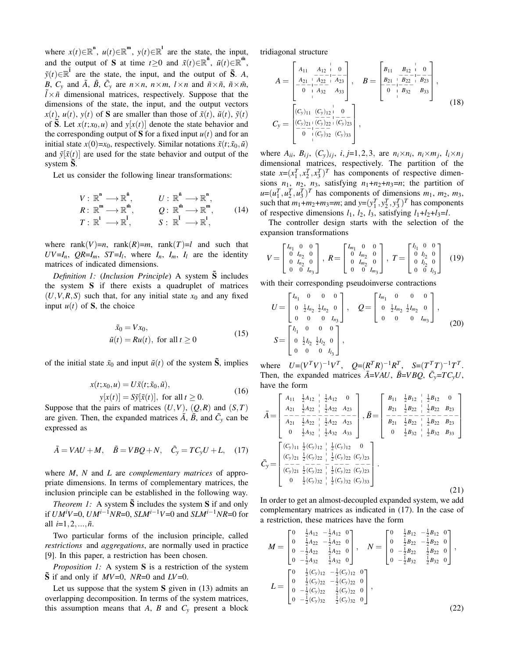where  $x(t) \in \mathbb{R}^n$ ,  $u(t) \in \mathbb{R}^m$ ,  $y(t) \in \mathbb{R}^1$  are the state, the input, and the output of S at time  $t \ge 0$  and  $\tilde{x}(t) \in \mathbb{R}^{\tilde{n}}$ ,  $\tilde{u}(t) \in \mathbb{R}^{\tilde{m}}$ ,  $\tilde{y}(t) \in \mathbb{R}^{\tilde{I}}$  are the state, the input, and the output of  $\tilde{S}$ . *A*, *B*,  $C_y$  and  $\tilde{A}$ ,  $\tilde{B}$ ,  $\tilde{C}_y$  are  $n \times n$ ,  $n \times m$ ,  $l \times n$  and  $\tilde{n} \times \tilde{n}$ ,  $\tilde{n} \times \tilde{m}$ ,  $\hat{l} \times \tilde{n}$  dimensional matrices, respectively. Suppose that the dimensions of the state, the input, and the output vectors  $x(t)$ ,  $u(t)$ ,  $y(t)$  of **S** are smaller than those of  $\tilde{x}(t)$ ,  $\tilde{u}(t)$ ,  $\tilde{y}(t)$ of S. Let  $x(t; x_0, u)$  and  $y[x(t)]$  denote the state behavior and the corresponding output of S for a fixed input  $u(t)$  and for an initial state  $x(0)=x_0$ , respectively. Similar notations  $\tilde{x}(t; \tilde{x}_0, \tilde{u})$ and  $\tilde{y}[\tilde{x}(t)]$  are used for the state behavior and output of the system  $\tilde{S}$ .

Let us consider the following linear transformations:

$$
V: \mathbb{R}^{n} \longrightarrow \mathbb{R}^{\tilde{n}}, \qquad U: \mathbb{R}^{\tilde{n}} \longrightarrow \mathbb{R}^{n},
$$
  
\n
$$
R: \mathbb{R}^{m} \longrightarrow \mathbb{R}^{\tilde{m}}, \qquad Q: \mathbb{R}^{\tilde{m}} \longrightarrow \mathbb{R}^{m},
$$
  
\n
$$
T: \mathbb{R}^{l} \longrightarrow \mathbb{R}^{\tilde{l}}, \qquad S: \mathbb{R}^{\tilde{l}} \longrightarrow \mathbb{R}^{l},
$$
  
\n(14)

where rank $(V)=n$ , rank $(R)=m$ , rank $(T)=l$  and such that  $UV = I_n$ ,  $QR = I_m$ ,  $ST = I_l$ , where  $I_n$ ,  $I_m$ ,  $I_l$  are the identity matrices of indicated dimensions.

*Definition 1: (Inclusion Principle*) A system  $\tilde{S}$  includes the system S if there exists a quadruplet of matrices  $(U, V, R, S)$  such that, for any initial state  $x_0$  and any fixed input  $u(t)$  of **S**, the choice

$$
\begin{aligned}\n\tilde{x}_0 &= V x_0, \\
\tilde{u}(t) &= R u(t), \text{ for all } t \ge 0\n\end{aligned} \tag{15}
$$

of the initial state  $\tilde{x}_0$  and input  $\tilde{u}(t)$  of the system  $\tilde{S}$ , implies

$$
x(t; x_0, u) = U\tilde{x}(t; \tilde{x}_0, \tilde{u}),
$$
  
\n
$$
y[x(t)] = S\tilde{y}[\tilde{x}(t)], \text{ for all } t \ge 0.
$$
 (16)

Suppose that the pairs of matrices  $(U, V)$ ,  $(Q, R)$  and  $(S, T)$ are given. Then, the expanded matrices  $\tilde{A}$ ,  $\tilde{B}$ , and  $\tilde{C}_y$  can be expressed as

$$
\tilde{A} = VAU + M, \quad \tilde{B} = VBQ + N, \quad \tilde{C}_y = TC_yU + L, \quad (17)
$$

where *M*, *N* and *L* are *complementary matrices* of appropriate dimensions. In terms of complementary matrices, the inclusion principle can be established in the following way.

*Theorem 1:* A system  $\tilde{S}$  includes the system  $S$  if and only if *UMiV*=0, *UMi*−1*NR*=0, *SLMi*−1*V*=0 and *SLMi*−1*NR*=0 for all  $i=1,2,...,\tilde{n}$ .

Two particular forms of the inclusion principle, called *restrictions* and *aggregations*, are normally used in practice [9]. In this paper, a restriction has been chosen.

*Proposition 1:* A system **S** is a restriction of the system  $\tilde{S}$  if and only if  $MV=0$ ,  $NR=0$  and  $LV=0$ .

Let us suppose that the system  $S$  given in (13) admits an overlapping decomposition. In terms of the system matrices, this assumption means that *A*, *B* and  $C_v$  present a block tridiagonal structure

$$
A = \begin{bmatrix} A_{11} & A_{12} & 0 \\ A_{21} & A_{22} & A_{23} \\ 0 & 0 & A_{32} & A_{33} \end{bmatrix}, \quad B = \begin{bmatrix} B_{11} & B_{12} & 0 \\ B_{21} & B_{22} & B_{23} \\ 0 & 0 & B_{22} & B_{23} \\ 0 & 0 & B_{32} & B_{33} \end{bmatrix},
$$
  
\n
$$
C_{y} = \begin{bmatrix} (C_{y})_{11} & (C_{y})_{12} & 0 \\ (C_{y})_{21} & (C_{y})_{22} & (C_{y})_{23} \\ 0 & 0 & B_{32} & B_{33} \end{bmatrix},
$$
  
\n
$$
(18)
$$

where  $A_{ii}$ ,  $B_{ij}$ ,  $(C_y)_{ij}$ ,  $i, j=1,2,3$ , are  $n_i \times n_i$ ,  $n_i \times m_j$ ,  $l_i \times n_j$ dimensional matrices, respectively. The partition of the state  $x=(x_1^T, x_2^T, x_3^T)^T$  has components of respective dimensions  $n_1$ ,  $n_2$ ,  $n_3$ , satisfying  $n_1+n_2+n_3=n$ ; the partition of  $u=(u_1^T, u_2^T, u_3^T)^T$  has components of dimensions  $m_1$ ,  $m_2$ ,  $m_3$ , such that  $m_1 + m_2 + m_3 = m$ ; and  $y = (y_1^T, y_2^T, y_3^T)^T$  has components of respective dimensions  $l_1$ ,  $l_2$ ,  $l_3$ , satisfying  $l_1+l_2+l_3=l$ .

The controller design starts with the selection of the expansion transformations

$$
V = \begin{bmatrix} I_{n_1} & 0 & 0 \\ 0 & I_{n_2} & 0 \\ 0 & I_{n_2} & 0 \\ 0 & 0 & I_{n_3} \end{bmatrix}, \ R = \begin{bmatrix} I_{m_1} & 0 & 0 \\ 0 & I_{m_2} & 0 \\ 0 & I_{m_2} & 0 \\ 0 & 0 & I_{m_3} \end{bmatrix}, \ T = \begin{bmatrix} I_{l_1} & 0 & 0 \\ 0 & I_{l_2} & 0 \\ 0 & I_{l_2} & 0 \\ 0 & 0 & I_{l_3} \end{bmatrix} \tag{19}
$$

with their corresponding pseudoinverse contractions

$$
U = \begin{bmatrix} I_{n_1} & 0 & 0 & 0 \\ 0 & \frac{1}{2}I_{n_2} & \frac{1}{2}I_{n_2} & 0 \\ 0 & 0 & 0 & I_{n_3} \end{bmatrix}, \quad Q = \begin{bmatrix} I_{m_1} & 0 & 0 & 0 \\ 0 & \frac{1}{2}I_{m_2} & \frac{1}{2}I_{m_2} & 0 \\ 0 & 0 & 0 & I_{m_3} \end{bmatrix},
$$
  

$$
S = \begin{bmatrix} I_{l_1} & 0 & 0 & 0 \\ 0 & \frac{1}{2}I_{l_2} & \frac{1}{2}I_{l_2} & 0 \\ 0 & 0 & 0 & I_{l_3} \end{bmatrix},
$$
 (20)

where  $U = (V^T V)^{-1} V^T$ ,  $Q = (R^T R)^{-1} R^T$ ,  $S = (T^T T)^{-1} T^T$ . Then, the expanded matrices  $\overline{A} = VAU$ ,  $\overline{B} = VBQ$ ,  $\overline{C}_y = TC_yU$ , have the form

$$
\bar{A} = \begin{bmatrix}\nA_{11} & \frac{1}{2}A_{12} & \frac{1}{2}A_{12} & 0 \\
A_{21} & \frac{1}{2}A_{22} & \frac{1}{2}A_{22} & A_{23} \\
-\frac{1}{2} & \frac{1}{2}A_{22} & -\frac{1}{2}A_{22} & A_{23} \\
0 & \frac{1}{2}A_{32} & \frac{1}{2}A_{32} & A_{33}\n\end{bmatrix}, \bar{B} = \begin{bmatrix}\nB_{11} & \frac{1}{2}B_{12} & \frac{1}{2}B_{12} & 0 \\
B_{21} & \frac{1}{2}B_{22} & \frac{1}{2}B_{22} & B_{23} \\
-\frac{1}{2} & \frac{1}{2}B_{22} & \frac{1}{2}B_{22} & B_{23} \\
0 & \frac{1}{2}A_{32} & \frac{1}{2}A_{32} & A_{33}\n\end{bmatrix}, \bar{B} = \begin{bmatrix}\nB_{11} & \frac{1}{2}B_{12} & \frac{1}{2}B_{12} & 0 \\
B_{21} & \frac{1}{2}B_{22} & \frac{1}{2}B_{22} & B_{23} \\
-\frac{1}{2} & \frac{1}{2}B_{22} & \frac{1}{2}B_{22} & B_{23} \\
0 & \frac{1}{2}B_{32} & \frac{1}{2}B_{32} & B_{33}\n\end{bmatrix}
$$
\n
$$
\bar{C}_{y} = \begin{bmatrix}\n(C_{y})_{11} & \frac{1}{2}(C_{y})_{12} & \frac{1}{2}(C_{y})_{12} & 0 \\
(C_{y})_{21} & \frac{1}{2}(C_{y})_{22} & \frac{1}{2}(C_{y})_{22} & (C_{y})_{23} \\
0 & \frac{1}{2}(C_{y})_{32} & \frac{1}{2}(C_{y})_{32} & (C_{y})_{33}\n\end{bmatrix}.
$$
\n(21)

In order to get an almost-decoupled expanded system, we add complementary matrices as indicated in (17). In the case of a restriction, these matrices have the form

$$
M = \begin{bmatrix} 0 & \frac{1}{2}A_{12} & -\frac{1}{2}A_{12} & 0 \\ 0 & \frac{1}{2}A_{22} & -\frac{1}{2}A_{22} & 0 \\ 0 & -\frac{1}{2}A_{22} & \frac{1}{2}A_{22} & 0 \\ 0 & -\frac{1}{2}A_{32} & \frac{1}{2}A_{32} & 0 \end{bmatrix}, \quad N = \begin{bmatrix} 0 & \frac{1}{2}B_{12} & -\frac{1}{2}B_{12} & 0 \\ 0 & \frac{1}{2}B_{22} & -\frac{1}{2}B_{22} & 0 \\ 0 & -\frac{1}{2}B_{22} & \frac{1}{2}B_{22} & 0 \\ 0 & -\frac{1}{2}B_{32} & \frac{1}{2}B_{32} & 0 \end{bmatrix},
$$
  
\n
$$
L = \begin{bmatrix} 0 & \frac{1}{2}(C_y)_{12} & -\frac{1}{2}(C_y)_{12} & 0 \\ 0 & \frac{1}{2}(C_y)_{22} & -\frac{1}{2}(C_y)_{22} & 0 \\ 0 & -\frac{1}{2}(C_y)_{32} & \frac{1}{2}(C_y)_{32} & 0 \end{bmatrix},
$$
\n
$$
(22)
$$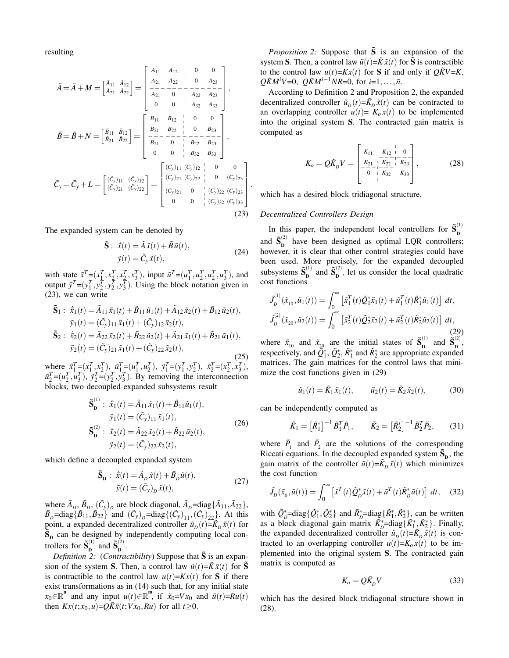resulting

$$
\tilde{A} = \bar{A} + M = \begin{bmatrix} \tilde{A}_{11} & \tilde{A}_{12} \\ \tilde{A}_{21} & \tilde{A}_{22} \end{bmatrix} = \begin{bmatrix} A_{11} & A_{12} & | & 0 & 0 \\ A_{21} & A_{22} & | & 0 & A_{23} \\ \hline A_{21} & - & - & - \\ 0 & 0 & | & A_{32} & A_{33} \end{bmatrix},
$$
\n
$$
\tilde{B} = \bar{B} + N = \begin{bmatrix} \tilde{B}_{11} & \tilde{B}_{12} \\ \tilde{B}_{21} & \tilde{B}_{22} \end{bmatrix} = \begin{bmatrix} B_{11} & B_{12} & | & 0 & 0 \\ B_{21} & B_{22} & | & 0 & B_{23} \\ \hline B_{21} & 0 & | & B_{22} & B_{23} \\ 0 & 0 & | & B_{32} & B_{33} \end{bmatrix},
$$
\n
$$
\tilde{C}_{y} = \bar{C}_{y} + L = \begin{bmatrix} (\tilde{C}_{y})_{11} & (\tilde{C}_{y})_{12} \\ (\tilde{C}_{y})_{21} & (\tilde{C}_{y})_{22} \end{bmatrix} = \begin{bmatrix} (C_{y})_{11} & (C_{y})_{12} & | & 0 & 0 \\ (C_{y})_{21} & (C_{y})_{22} & | & 0 & (C_{y})_{23} \\ (C_{y})_{21} & 0 & | & (C_{y})_{22} & (C_{y})_{23} \\ \hline (C_{y})_{21} & 0 & | & (C_{y})_{22} & (C_{y})_{23} \\ 0 & 0 & | & (C_{y})_{32} & (C_{y})_{33} \\ 0 & 0 & | & (C_{y})_{32} & (C_{y})_{33} \end{bmatrix}
$$
\n(23)

The expanded system can be denoted by

$$
\tilde{\mathbf{S}}: \; \dot{\tilde{x}}(t) = \tilde{A}\tilde{x}(t) + \tilde{B}\tilde{u}(t), \n\tilde{y}(t) = \tilde{C}_y \tilde{x}(t),
$$
\n(24)

with state  $\tilde{x}^T = (x_1^T, x_2^T, x_2^T, x_3^T)$ , input  $\tilde{u}^T = (u_1^T, u_2^T, u_2^T, u_3^T)$ , and output  $\tilde{y}^T = (y_1^T, y_2^T, y_3^T, y_3^T)$ . Using the block notation given in (23), we can write

$$
\tilde{\mathbf{S}}_1: \n\dot{\tilde{x}}_1(t) = \tilde{A}_{11}\tilde{x}_1(t) + \tilde{B}_{11}\tilde{u}_1(t) + \tilde{A}_{12}\tilde{x}_2(t) + \tilde{B}_{12}\tilde{u}_2(t),
$$
\n
$$
\tilde{y}_1(t) = (\tilde{C}_y)_{11}\tilde{x}_1(t) + (\tilde{C}_y)_{12}\tilde{x}_2(t),
$$
\n
$$
\tilde{\mathbf{S}}_2: \n\dot{\tilde{x}}_2(t) = \tilde{A}_{22}\tilde{x}_2(t) + \tilde{B}_{22}\tilde{u}_2(t) + \tilde{A}_{21}\tilde{x}_1(t) + \tilde{B}_{21}\tilde{u}_1(t),
$$
\n
$$
\tilde{y}_2(t) = (\tilde{C}_y)_{21}\tilde{x}_1(t) + (\tilde{C}_y)_{22}\tilde{x}_2(t),
$$

(25) where  $\tilde{x}_1^T = (x_1^T, x_2^T), \tilde{u}_1^T = (u_1^T, u_2^T), \tilde{y}_1^T = (y_1^T, y_2^T), \tilde{x}_2^T = (x_2^T, x_3^T),$  $\tilde{u}_2^T = (u_2^T, u_3^T), \, \tilde{y}_2^T = (y_2^T, y_3^T).$  By removing the interconnection blocks, two decoupled expanded subsystems result

$$
\tilde{\mathbf{S}}_{\mathbf{D}}^{(1)}: \; \dot{\tilde{x}}_1(t) = \tilde{A}_{11} \tilde{x}_1(t) + \tilde{B}_{11} \tilde{u}_1(t), \n\tilde{y}_1(t) = (\tilde{C}_y)_{11} \tilde{x}_1(t), \n\tilde{\mathbf{S}}_{\mathbf{D}}^{(2)}: \; \dot{\tilde{x}}_2(t) = \tilde{A}_{22} \tilde{x}_2(t) + \tilde{B}_{22} \tilde{u}_2(t), \n\tilde{y}_2(t) = (\tilde{C}_y)_{22} \tilde{x}_2(t),
$$
\n(26)

which define a decoupled expanded system

$$
\widetilde{\mathbf{S}}_{\mathbf{D}} : \dot{\widetilde{x}}(t) = \widetilde{A}_D \widetilde{x}(t) + \widetilde{B}_D \widetilde{u}(t), \n\widetilde{y}(t) = (\widetilde{C}_y)_D \widetilde{x}(t),
$$
\n(27)

where  $\tilde{A}_D$ ,  $\tilde{B}_D$ ,  $(\tilde{C}_y)_D$  are block diagonal,  $\tilde{A}_D$ =diag $\{\tilde{A}_{11}, \tilde{A}_{22}\}$ ,  $\tilde{B}_D$ =diag $\{\tilde{B}_{11}, \tilde{B}_{22}\}$  and  $(\tilde{C}_y)_D$ =diag $\{(\tilde{C}_y)_{11}, (\tilde{C}_y)_{22}\}$ . At this point, a expanded decentralized controller  $\tilde{u}_D(t) = \tilde{K}_D \tilde{x}(t)$  for  $\tilde{\mathbf{S}}_{\mathbf{p}}$  can be designed by independently computing local controllers for  $\tilde{\mathbf{S}}_{\mathbf{n}}^{(1)}$  $_{\mathbf{D}}^{(1)}$  and  $\tilde{\mathbf{S}}_{\mathbf{D}}^{(2)}$  $\overline{\mathbf{D}}^{\bullet}$ .

*Definition 2: (Contractibility)* Suppose that  $\tilde{S}$  is an expansion of the system S. Then, a control law  $\tilde{u}(t) = \tilde{K}\tilde{x}(t)$  for  $\tilde{S}$ is contractible to the control law  $u(t)=Kx(t)$  for S if there exist transformations as in (14) such that, for any initial state  $x_0 \in \mathbb{R}^n$  and any input  $u(t) \in \mathbb{R}^m$ , if  $\tilde{x}_0 = V x_0$  and  $\tilde{u}(t) = Ru(t)$ then  $Kx(t; x_0, u) = Q\tilde{K}\tilde{x}(t; Vx_0, Ru)$  for all  $t > 0$ .

*Proposition 2:* Suppose that  $\tilde{S}$  is an expansion of the system S. Then, a control law  $\tilde{u}(t) = \tilde{K}\tilde{x}(t)$  for  $\tilde{S}$  is contractible to the control law  $u(t) = Kx(t)$  for S if and only if  $\overrightarrow{Q}$   $\overrightarrow{K}V = K$ ,  $Q\tilde{K}M^{i}V=0$ ,  $Q\tilde{K}M^{i-1}NR=0$ , for  $i=1,\ldots,\tilde{n}$ .

According to Definition 2 and Proposition 2, the expanded decentralized controller  $\tilde{u}_D(t) = \tilde{K}_D \tilde{x}(t)$  can be contracted to an overlapping controller  $u(t) = K_0 x(t)$  to be implemented into the original system S. The contracted gain matrix is computed as

$$
K_o = Q\tilde{K}_D V = \begin{bmatrix} K_{11} & K_{12} & 0 \\ K_{21} & K_{22} & K_{23} \\ -\frac{K_{21}}{0} & K_{32} & K_{33} \\ 0 & 0 & K_{32} \end{bmatrix},
$$
(28)

which has a desired block tridiagonal structure.

### *Decentralized Controllers Design*

.

In this paper, the independent local controllers for  $\tilde{\mathbf{S}}_{\mathbf{n}}^{(1)}$ D and  $\tilde{\mathbf{S}}_{\mathbf{n}}^{(2)}$  $\sum_{n=0}^{\infty}$  have been designed as optimal LQR controllers; however, it is clear that other control strategies could have been used. More precisely, for the expanded decoupled subsystems  $\tilde{\mathbf{S}}_{\mathbf{n}}^{(1)}$  $_{\mathbf{D}}^{(1)}$  and  $\widetilde{\mathbf{S}}_{\mathbf{D}}^{(2)}$  $\sum_{n=0}^{\infty}$ , let us consider the local quadratic cost functions

$$
J_D^{(1)}(\tilde{x}_{10}, \tilde{u}_1(t)) = \int_0^\infty \left[ \tilde{x}_1^T(t) \tilde{Q}_1^* \tilde{x}_1(t) + \tilde{u}_1^T(t) \tilde{R}_1^* \tilde{u}_1(t) \right] dt,
$$
  

$$
J_D^{(2)}(\tilde{x}_{20}, \tilde{u}_2(t)) = \int_0^\infty \left[ \tilde{x}_2^T(t) \tilde{Q}_2^* \tilde{x}_2(t) + \tilde{u}_2^T(t) \tilde{R}_2^* \tilde{u}_2(t) \right] dt,
$$
  
(29)

where  $\tilde{x}_{10}$  and  $\tilde{x}_{20}$  are the initial states of  $\tilde{S}_{\mathbf{D}}^{(1)}$  $\mathbf{D}^{(1)}$  and  $\mathbf{S}^{(2)}_{\mathbf{D}}$  $\mathbf{D}^{\left( 2\right) },$ respectively, and  $\tilde{Q}_1^*, \tilde{Q}_2^*, \tilde{R}_1^*$  and  $\tilde{R}_2^*$  are appropriate expanded matrices. The gain matrices for the control laws that minimize the cost functions given in (29)

$$
\tilde{u}_1(t) = \tilde{K}_1 \tilde{x}_1(t), \qquad \tilde{u}_2(t) = \tilde{K}_2 \tilde{x}_2(t),
$$
\n(30)

can be independently computed as

$$
\tilde{K}_1 = \left[\tilde{R}_1^*\right]^{-1} \tilde{B}_1^T \tilde{P}_1, \qquad \tilde{K}_2 = \left[\tilde{R}_2^*\right]^{-1} \tilde{B}_2^T \tilde{P}_2, \qquad (31)
$$

where  $\tilde{P}_1$  and  $\tilde{P}_2$  are the solutions of the corresponding Riccati equations. In the decoupled expanded system  $\tilde{S}_{p}$ , the gain matrix of the controller  $\tilde{u}(t) = \tilde{K}_D \tilde{x}(t)$  which minimizes the cost function

$$
\tilde{J}_D(\tilde{x}_0, \tilde{u}(t)) = \int_0^\infty \left[ \tilde{x}^T(t) \tilde{Q}_D^* \tilde{x}(t) + \tilde{u}^T(t) \tilde{R}_D^* \tilde{u}(t) \right] dt, \quad (32)
$$

with  $\tilde{Q}_{D}^{*}$ =diag{ $\tilde{Q}_{1}^{*}, \tilde{Q}_{2}^{*}$ } and  $\tilde{R}_{D}^{*}$ =diag{ $\tilde{R}_{1}^{*}, \tilde{R}_{2}^{*}$ }, can be written as a block diagonal gain matrix  $\tilde{K}_D^* = \text{diag}\{\tilde{K}_1^*, \tilde{K}_2^*\}\$ . Finally, the expanded decentralized controller  $\tilde{u}_D(t) = \tilde{K}_D \tilde{x}(t)$  is contracted to an overlapping controller  $u(t)=K_0x(t)$  to be implemented into the original system S. The contracted gain matrix is computed as

$$
K_o = Q\tilde{K}_D V \tag{33}
$$

which has the desired block tridiagonal structure shown in (28).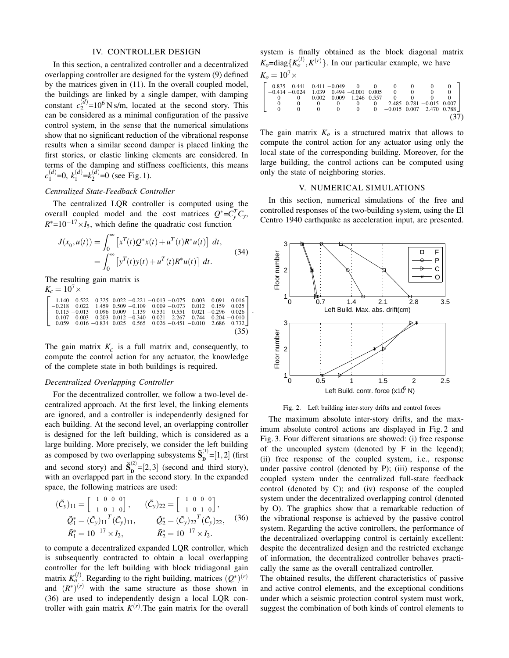### IV. CONTROLLER DESIGN

In this section, a centralized controller and a decentralized overlapping controller are designed for the system (9) defined by the matrices given in (11). In the overall coupled model, the buildings are linked by a single damper, with damping constant  $c_2^{(d)}$  $_{2}^{(d)}$ =10<sup>6</sup> N s/m, located at the second story. This can be considered as a minimal configuration of the passive control system, in the sense that the numerical simulations show that no significant reduction of the vibrational response results when a similar second damper is placed linking the first stories, or elastic linking elements are considered. In terms of the damping and stiffness coefficients, this means  $c_1^{(d)}$  $\binom{d}{1}$ =0,  $k_1^{(d)}$  $\binom{d}{1}$ = $k_2^{(d)}$  $2^{(u)}=0$  (see Fig. 1).

# *Centralized State-Feedback Controller*

The centralized LQR controller is computed using the overall coupled model and the cost matrices  $Q^* = C_y^T C_y$ ,  $R^*$ =10<sup>-17</sup>×*I*<sub>5</sub>, which define the quadratic cost function

$$
J(x_0, u(t)) = \int_0^\infty \left[ x^T(t)Q^*x(t) + u^T(t)R^*u(t) \right] dt,
$$
  
= 
$$
\int_0^\infty \left[ y^T(t)y(t) + u^T(t)R^*u(t) \right] dt.
$$
 (34)

The resulting gain matrix is

$$
K_c = 10^7 \times \n\begin{bmatrix}\n1.140 & 0.522 & 0.325 & 0.022 & -0.221 & -0.013 & -0.075 & 0.003 & 0.091 & 0.016 \\
-0.218 & 0.022 & 1.459 & 0.509 & -0.109 & 0.009 & -0.073 & 0.012 & 0.159 & 0.025 \\
0.115 & -0.013 & 0.096 & 0.009 & 1.139 & 0.531 & 0.551 & 0.021 & -0.296 & 0.026 \\
0.107 & 0.003 & 0.203 & 0.012 & -0.340 & 0.021 & 2.267 & 0.744 & 0.204 & -0.010 \\
0.059 & 0.016 & -0.834 & 0.025 & 0.565 & 0.026 & -0.451 & -0.010 & 2.686 & 0.732\n\end{bmatrix}.
$$
\n
$$
(35)
$$

The gain matrix  $K_c$  is a full matrix and, consequently, to compute the control action for any actuator, the knowledge of the complete state in both buildings is required.

### *Decentralized Overlapping Controller*

For the decentralized controller, we follow a two-level decentralized approach. At the first level, the linking elements are ignored, and a controller is independently designed for each building. At the second level, an overlapping controller is designed for the left building, which is considered as a large building. More precisely, we consider the left building as composed by two overlapping subsystems  $\tilde{\mathbf{S}}_{\mathbf{n}}^{(1)}$  $D^{(1)} = [1,2]$  (first and second story) and  $\tilde{\mathbf{S}}_{\mathbf{n}}^{(2)}$  $\mathbf{D}^{(2)} = [2,3]$  (second and third story), with an overlapped part in the second story. In the expanded space, the following matrices are used:

$$
(\tilde{C}_y)_{11} = \begin{bmatrix} 1 & 0 & 0 & 0 \\ -1 & 0 & 1 & 0 \end{bmatrix}, \qquad (\tilde{C}_y)_{22} = \begin{bmatrix} 1 & 0 & 0 & 0 \\ -1 & 0 & 1 & 0 \end{bmatrix}, \n\tilde{Q}_1^* = (\tilde{C}_y)_{11}^T (\tilde{C}_y)_{11}, \qquad \tilde{Q}_2^* = (\tilde{C}_y)_{22}^T (\tilde{C}_y)_{22}, \qquad (36) \n\tilde{R}_1^* = 10^{-17} \times I_2, \qquad \tilde{R}_2^* = 10^{-17} \times I_2.
$$

to compute a decentralized expanded LQR controller, which is subsequently contracted to obtain a local overlapping controller for the left building with block tridiagonal gain matrix  $K_o^{(l)}$ . Regarding to the right building, matrices  $(Q^*)^{(r)}$ and  $(R^*)^{(r)}$  with the same structure as those shown in (36) are used to independently design a local LQR controller with gain matrix  $K^{(r)}$ . The gain matrix for the overall

system is finally obtained as the block diagonal matrix  $K_o = \text{diag}\{K_o^{(l)}, K^{(r)}\}$ . In our particular example, we have

$$
K_o = 10^7 \times
$$
\n
$$
\begin{bmatrix}\n0.835 & 0.441 & 0.411 & -0.049 & 0 & 0 & 0 & 0 & 0 & 0 \\
-0.414 & -0.024 & 1.039 & 0.494 & -0.001 & 0.005 & 0 & 0 & 0 & 0 \\
0 & 0 & -0.002 & 0.009 & 1.246 & 0.557 & 0 & 0 & 0 & 0 \\
0 & 0 & 0 & 0 & 0 & 0 & 2.485 & 0.781 & -0.015 & 0.007 \\
0 & 0 & 0 & 0 & 0 & 0 & -0.015 & 0.007 & 2.470 & 0.788\n\end{bmatrix}
$$
\n(37)

The gain matrix  $K<sub>o</sub>$  is a structured matrix that allows to compute the control action for any actuator using only the local state of the corresponding building. Moreover, for the large building, the control actions can be computed using only the state of neighboring stories.

### V. NUMERICAL SIMULATIONS

In this section, numerical simulations of the free and controlled responses of the two-building system, using the El Centro 1940 earthquake as acceleration input, are presented.



Fig. 2. Left building inter-story drifts and control forces

The maximum absolute inter-story drifts, and the maximum absolute control actions are displayed in Fig. 2 and Fig. 3. Four different situations are showed: (i) free response of the uncoupled system (denoted by F in the legend); (ii) free response of the coupled system, i.e., response under passive control (denoted by P); (iii) response of the coupled system under the centralized full-state feedback control (denoted by C); and (iv) response of the coupled system under the decentralized overlapping control (denoted by O). The graphics show that a remarkable reduction of the vibrational response is achieved by the passive control system. Regarding the active controllers, the performance of the decentralized overlapping control is certainly excellent: despite the decentralized design and the restricted exchange of information, the decentralized controller behaves practically the same as the overall centralized controller.

The obtained results, the different characteristics of passive and active control elements, and the exceptional conditions under which a seismic protection control system must work, suggest the combination of both kinds of control elements to